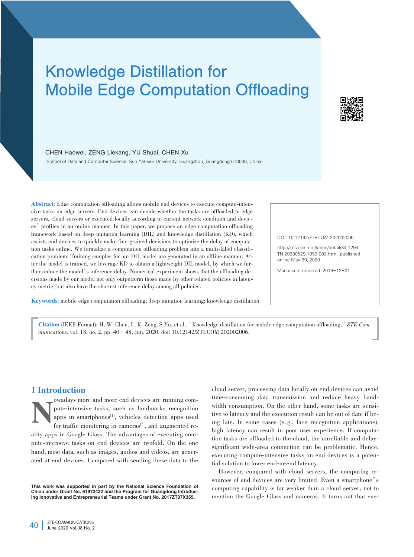# Knowledge Distillation for Mobile Edge Computation Offloading



CHEN Haowei, ZENG Liekang, YU Shuai, CHEN Xu

(School of Data and Computer Science, Sun Yat⁃sen University, Guangzhou, Guangdong 510006, China)

Abstract: Edge computation offloading allows mobile end devices to execute compute-intensive tasks on edge servers. End devices can decide whether the tasks are offloaded to edge servers, cloud servers or executed locally according to current network condition and devices'profiles in an online manner. In this paper, we propose an edge computation offloading framework based on deep imitation learning (DIL) and knowledge distillation (KD), which assists end devices to quickly make fine-grained decisions to optimize the delay of computation tasks online. We formalize a computation offloading problem into a multi-label classification problem. Training samples for our DIL model are generated in an offline manner. After the model is trained, we leverage KD to obtain a lightweight DIL model, by which we further reduce the model's inference delay. Numerical experiment shows that the offloading decisions made by our model not only outperform those made by other related policies in latency metric, but also have the shortest inference delay among all policies.

Keywords: mobile edge computation offloading; deep imitation learning; knowledge distillation

DOI: 10.12142/ZTECOM.202002006

http://kns.cnki.net/kcms/detail/34.1294. TN.20200529.1853.002.html, published online May 29, 2020

Manuscript received: 2019-12-01

Citation (IEEE Format): H. W. Chen, L. K. Zeng, S.Yu, et al.,"Knowledge distillation for mobile edge computation offloading,"*ZTE Com⁃ munications*, vol. 18, no. 2, pp. 40–48, Jun. 2020. doi: 10.12142/ZTECOM.202002006.

## 1 Introduction

owadays more and more end devices are running compute-intensive tasks, such as landmarks recognition apps in smartphones<sup>[1]</sup>, vehicles detection apps used for traffic monitoring in cameras<sup>[2]</sup>, and augmented repute-intensive tasks, such as landmarks recognition apps in smartphones<sup>[1]</sup>, vehicles detection apps used for traffic monitoring in cameras<sup>[2]</sup>, and augmented reality apps in Google Glass. The advantages of executing compute-intensive tasks on end devices are twofold. On the one hand, most data, such as images, audios and videos, are generated at end devices. Compared with sending these data to the

cloud server, processing data locally on end devices can avoid time-consuming data transmission and reduce heavy bandwidth consumption. On the other hand, some tasks are sensitive to latency and the execution result can be out of date if being late. In some cases (e. g., face recognition applications), high latency can result in poor user experience. If computation tasks are offloaded to the cloud, the unreliable and delaysignificant wide-area connection can be problematic. Hence, executing compute-intensive tasks on end devices is a potential solution to lower end-to-end latency.

However, compared with cloud servers, the computing resources of end devices are very limited. Even a smartphone's computing capability is far weaker than a cloud server, not to mention the Google Glass and cameras. It turns out that exe-

This work was supported in part by the National Science Foundation of China under Grant No. 61972432 and the Program for Guangdong Introducing Innovative and Entrepreneurial Teams under Grant No. 2017ZT07X355.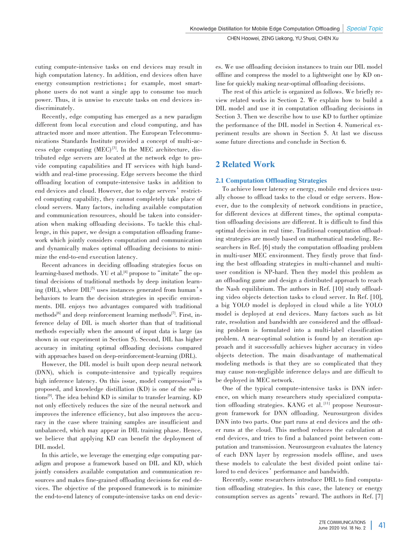cuting compute-intensive tasks on end devices may result in high computation latency. In addition, end devices often have energy consumption restrictions; for example, most smartphone users do not want a single app to consume too much power. Thus, it is unwise to execute tasks on end devices indiscriminately.

Recently, edge computing has emerged as a new paradigm different from local execution and cloud computing, and has attracted more and more attention. The European Telecommunications Standards Institute provided a concept of multi-access edge computing  $(MEC)^{3}$ . In the MEC architecture, distributed edge servers are located at the network edge to provide computing capabilities and IT services with high bandwidth and real-time processing. Edge servers become the third offloading location of compute-intensive tasks in addition to end devices and cloud. However, due to edge servers' restricted computing capability, they cannot completely take place of cloud servers. Many factors, including available computation and communication resources, should be taken into consideration when making offloading decisions. To tackle this challenge, in this paper, we design a computation offloading frame work which jointly considers computation and communication and dynamically makes optimal offloading decisions to minimize the end-to-end execution latency.

Recent advances in deciding offloading strategies focus on learning-based methods. YU et al.<sup>[4]</sup> propose to "imitate" the optimal decisions of traditional methods by deep imitation learning (DIL), where  $DIL^{[5]}$  uses instances generated from human's behaviors to learn the decision strategies in specific environments. DIL enjoys two advantages compared with traditional methods<sup>[6]</sup> and deep reinforcement learning methods<sup>[7]</sup>. First, inference delay of DIL is much shorter than that of traditional methods especially when the amount of input data is large (as shown in our experiment in Section 5). Second, DIL has higher accuracy in imitating optimal offloading decisions compared with approaches based on deep-reinforcement-learning (DRL).

However, the DIL model is built upon deep neural network (DNN), which is compute-intensive and typically requires high inference latency. On this issue, model compression<sup>[8]</sup> is proposed, and knowledge distillation (KD) is one of the solutions[9] . The idea behind KD is similar to transfer learning. KD not only effectively reduces the size of the neural network and improves the inference efficiency, but also improves the accuracy in the case where training samples are insufficient and unbalanced, which may appear in DIL training phase. Hence, we believe that applying KD can benefit the deployment of DIL model.

In this article, we leverage the emerging edge computing paradigm and propose a framework based on DIL and KD, which jointly considers available computation and communication re⁃ sources and makes fine-grained offloading decisions for end devices. The objective of the proposed framework is to minimize the end-to-end latency of compute-intensive tasks on end devices. We use offloading decision instances to train our DIL model offline and compress the model to a lightweight one by KD online for quickly making near-optimal offloading decisions.

The rest of this article is organized as follows. We briefly review related works in Section 2. We explain how to build a DIL model and use it in computation offloading decisions in Section 3. Then we describe how to use KD to further optimize the performance of the DIL model in Section 4. Numerical experiment results are shown in Section 5. At last we discuss some future directions and conclude in Section 6.

# 2 Related Work

### 2.1 Computation Offloading Strategies

To achieve lower latency or energy, mobile end devices usually choose to offload tasks to the cloud or edge servers. However, due to the complexity of network conditions in practice, for different devices at different times, the optimal computation offloading decisions are different. It is difficult to find this optimal decision in real time. Traditional computation offloading strategies are mostly based on mathematical modeling. Researchers in Ref. [6] study the computation offloading problem in multi-user MEC environment. They firstly prove that finding the best offloading strategies in multi-channel and multiuser condition is NP-hard. Then they model this problem as an offloading game and design a distributed approach to reach the Nash equilibrium. The authors in Ref. [10] study offloading video objects detection tasks to cloud server. In Ref. [10], a big YOLO model is deployed in cloud while a lite YOLO model is deployed at end devices. Many factors such as bit rate, resolution and bandwidth are considered and the offloading problem is formulated into a multi-label classification problem. A near-optimal solution is found by an iteration approach and it successfully achieves higher accuracy in video objects detection. The main disadvantage of mathematical modeling methods is that they are so complicated that they may cause non-negligible inference delays and are difficult to be deployed in MEC network.

One of the typical compute-intensive tasks is DNN inference, on which many researchers study specialized computation offloading strategies. KANG et al.<sup>[11]</sup> propose Neurosurgeon framework for DNN offloading. Neurosurgeon divides DNN into two parts. One part runs at end devices and the other runs at the cloud. This method reduces the calculation at end devices, and tries to find a balanced point between computation and transmission. Neurosurgeon evaluates the latency of each DNN layer by regression models offline, and uses these models to calculate the best divided point online tailored to end devices' performance and bandwidth.

Recently, some researchers introduce DRL to find computation offloading strategies. In this case, the latency or energy consumption serves as agents' reward. The authors in Ref. [7]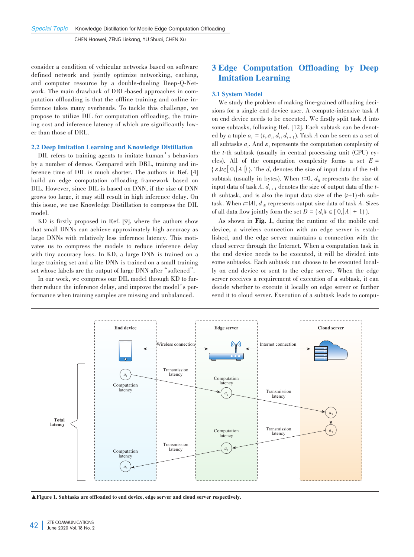consider a condition of vehicular networks based on software defined network and jointly optimize networking, caching, and computer resource by a double-dueling Deep-Q-Network. The main drawback of DRL-based approaches in computation offloading is that the offline training and online inference takes many overheads. To tackle this challenge, we propose to utilize DIL for computation offloading, the training cost and inference latency of which are significantly lower than those of DRL.

### 2.2 Deep Imitation Learning and Knowledge Distillation

DIL refers to training agents to imitate human's behaviors by a number of demos. Compared with DRL, training and inference time of DIL is much shorter. The authors in Ref. [4] build an edge computation offloading framework based on DIL. However, since DIL is based on DNN, if the size of DNN grows too large, it may still result in high inference delay. On this issue, we use Knowledge Distillation to compress the DIL model.

KD is firstly proposed in Ref. [9], where the authors show that small DNNs can achieve approximately high accuracy as large DNNs with relatively less inference latency. This motivates us to compress the models to reduce inference delay with tiny accuracy loss. In KD, a large DNN is trained on a large training set and a lite DNN is trained on a small training set whose labels are the output of large DNN after "softened".

In our work, we compress our DIL model through KD to further reduce the inference delay, and improve the model's performance when training samples are missing and unbalanced.

# 3 Edge Computation Offloading by Deep Imitation Learning

### 3.1 System Model

We study the problem of making fine-grained offloading decisions for a single end device user. A compute-intensive task *A* on end device needs to be executed. We firstly split task *A* into some subtasks, following Ref. [12]. Each subtask can be denoted by a tuple  $a_t = (t, \varepsilon_t, d_t, d_{t+1})$ . Task *A* can be seen as a set of all subtasks  $a_t$ . And  $\varepsilon_t$  represents the computation complexity of the *t*-th subtask (usually in central processing unit (CPU) cycles). All of the computation complexity forms a set  $E =$  $\{ \varepsilon_t | t \in [0, |A|) \}$ . The  $d_t$  denotes the size of input data of the *t*-th subtask (usually in bytes). When  $t=0$ ,  $d_0$  represents the size of input data of task A.  $d_{t+1}$  denotes the size of output data of the *t*th subtask, and is also the input data size of the  $(t+1)$ -th subtask. When  $t=|A|$ ,  $d_{\mu}$  represents output size data of task A. Sizes of all data flow jointly form the set  $D = \{ d_t | t \in [0, |A| + 1) \}$ .

As shown in Fig. 1, during the runtime of the mobile end device, a wireless connection with an edge server is established, and the edge server maintains a connection with the cloud server through the Internet. When a computation task in the end device needs to be executed, it will be divided into some subtasks. Each subtask can choose to be executed locally on end device or sent to the edge server. When the edge server receives a requirement of execution of a subtask, it can decide whether to execute it locally on edge server or further send it to cloud server. Execution of a subtask leads to compu-



▲Figure 1. Subtasks are offloaded to end device, edge server and cloud server respectively.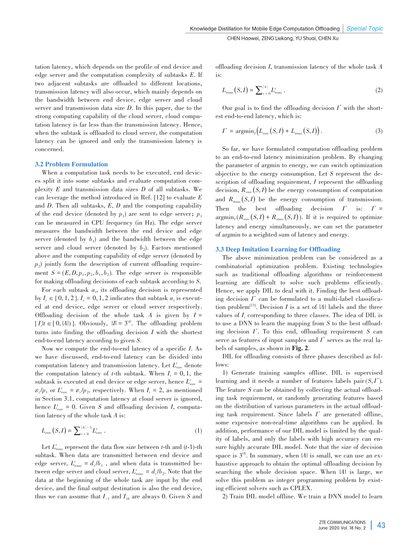tation latency, which depends on the profile of end device and edge server and the computation complexity of subtasks *E*. If two adjacent subtasks are offloaded to different locations, transmission latency will also occur, which mainly depends on the bandwidth between end device, edge server and cloud server and transmission data size *D*. In this paper, due to the strong computing capability of the cloud server, cloud computation latency is far less than the transmission latency. Hence, when the subtask is offloaded to cloud server, the computation latency can be ignored and only the transmission latency is concerned.

### 3.2 Problem Formulation

When a computation task needs to be executed, end devices split it into some subtasks and evaluate computation com⁃ plexity *E* and transmission data sizes *D* of all subtasks. We can leverage the method introduced in Ref. [12] to evaluate *E* and *D*. Then all subtasks, *E*, *D* and the computing capability of the end device (denoted by  $p_1$ ) are sent to edge server;  $p_1$ can be measured in CPU frequency (in Hz). The edge server measures the bandwidth between the end device and edge server (denoted by  $b_1$ ) and the bandwidth between the edge server and cloud server (denoted by  $b_2$ ). Factors mentioned above and the computing capability of edge server (denoted by  $p<sub>2</sub>$ ) jointly form the description of current offloading require ment  $S = (E, D, p_1, p_2, b_1, b_2)$ . The edge server is responsible for making offloading decisions of each subtask according to *S*.

For each subtask  $a_i$ , its offloading decision is represented by  $I_t \in \{0, 1, 2\}$ .  $I_t = 0, 1, 2$  indicates that subtask  $a_t$  is executed at end device, edge server or cloud server respectively. Offloading decision of the whole task  $A$  is given by  $I =$  $\{I_t | t \in [0, |A|)\}$ . Obviously,  $|I| = 3^{|A|}$ . The offloading problem turns into finding the offloading decision *I* with the shortest end-to-end latency according to given *S*.

Now we compute the end-to-end latency of a specific *I*. As we have discussed, end-to-end latency can be divided into computation latency and transmission latency. Let *Lt exec* denote the computation latency of *t*-th subtask. When  $I_t = 0, 1$ , the subtask is executed at end device or edge server, hence  $L_{\tiny{exec}}^t$  =  $\varepsilon_t / p_1$  or  $L_{\text{exec}}^t = \varepsilon_t / p_2$ , respectively. When  $I_t = 2$ , as mentioned in Section 3.1, computation latency at cloud server is ignored, hence  $L_{exec}^t = 0$ . Given *S* and offloading decision *I*, computation latency of the whole task *A* is:

$$
L_{exec}(S, I) = \sum_{t=0}^{|A|-1} L_{exec}^{t} .
$$
 (1)

Let  $L_{trans}$  represent the data flow size between *t*-th and (*t*-1)-th subtask. When data are transmitted between end device and edge server,  $L_{trans}^{t} = d_t/b_1$ , and when data is transmitted between edge server and cloud server,  $L_{trans}^{t} = d_{t}/b_{2}$ . Note that the data at the beginning of the whole task are input by the end device, and the final output destination is also the end device, thus we can assume that  $I_{-1}$  and  $I_{\text{M}}$  are always 0. Given *S* and offloading decision *I*, transmission latency of the whole task *A* is:

$$
L_{trans}(S, I) = \sum_{t=0}^{|A|} L_{trans}^{t}.
$$
 (2)

Our goal is to find the offloading decision  $I^*$  with the shortest end-to-end latency, which is:

$$
I^* = \operatorname{argmin}_{I} \left( L_{\text{exec}}(S, I) + L_{\text{trans}}(S, I) \right). \tag{3}
$$

So far, we have formulated computation offloading problem to an end-to-end latency minimization problem. By changing the parameter of argmin to energy, we can switch optimization objective to the energy consumption. Let *S* represent the de⁃ scription of offloading requirement, *I* represent the offloading decision,  $R_{\text{exec}}(S, I)$  be the energy consumption of computation and  $R_{trans}(S, I)$  be the energy consumption of transmission. Then the best offloading decision  $I^*$  is:  $I^* =$  $\argmin_{I} (R_{exec}(S, I) + R_{trans}(S, I))$ . If it is required to optimize latency and energy simultaneously, we can set the parameter of argmin to a weighted sum of latency and energy.

### 3.3 Deep Imitation Learning for Offloading

The above minimization problem can be considered as a combinatorial optimization problem. Existing technologies such as traditional offloading algorithms or reinforcement learning are difficult to solve such problems efficiently. Hence, we apply DIL to deal with it. Finding the best offloading decision  $I^*$  can be formulated to a multi-label classification problem<sup>[13]</sup>. Decision  $I$  is a set of  $|A|$  labels and the three values of *I<sub>t</sub>* corresponding to three classes. The idea of DIL is to use a DNN to learn the mapping from *S* to the best offloading decision *I \** . To this end, offloading requirement *S* can serve as features of input samples and  $I^*$  serves as the real labels of samples, as shown in Fig. 2.

DIL for offloading consists of three phases described as follows:

1) Generate training samples offline. DIL is supervised learning and it needs a number of features labels pair (*S*, *I \** ). The feature *S* can be obtained by collecting the actual offloading task requirement, or randomly generating features based on the distribution of various parameters in the actual offloading task requirement. Since labels  $I^*$  are generated offline, some expensive non-real-time algorithms can be applied. In addition, performance of our DIL model is limited by the quality of labels, and only the labels with high accuracy can ensure highly accurate DIL model. Note that the size of decision space is  $3^{\text{14}}$ . In summary, when  $|A|$  is small, we can use an exhaustive approach to obtain the optimal offloading decision by searching the whole decision space. When |*A*| is large, we solve this problem as integer programming problem by existing efficient solvers such as CPLEX.

2) Train DIL model offline. We train a DNN model to learn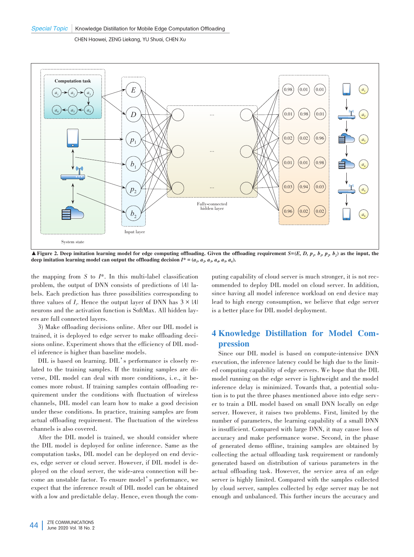

 $\blacktriangle$  Figure 2. Deep imitation learning model for edge computing offloading. Given the offloading requirement *S*=(*E*, *D*, *p<sub>n</sub>*, *b<sub>1</sub>*, *b<sub>2</sub>*, *b<sub>2</sub>*) as the input, the deep imitation learning model can output the offloading decision  $I^* = (a_1, a_2, a_3, a_4, a_5, a_6)$ .

the mapping from *S* to *I*\*. In this multi-label classification problem, the output of DNN consists of predictions of  $|A|$  labels. Each prediction has three possibilities corresponding to three values of  $I_t$ . Hence the output layer of DNN has  $3 \times |A|$ neurons and the activation function is SoftMax. All hidden layers are full connected layers.

3) Make offloading decisions online. After our DIL model is trained, it is deployed to edge server to make offloading decisions online. Experiment shows that the efficiency of DIL model inference is higher than baseline models.

DIL is based on learning. DIL's performance is closely related to the training samples. If the training samples are diverse, DIL model can deal with more conditions, i.e., it becomes more robust. If training samples contain offloading requirement under the conditions with fluctuation of wireless channels, DIL model can learn how to make a good decision under these conditions. In practice, training samples are from actual offloading requirement. The fluctuation of the wireless channels is also covered.

After the DIL model is trained, we should consider where the DIL model is deployed for online inference. Same as the computation tasks, DIL model can be deployed on end devices, edge server or cloud server. However, if DIL model is deployed on the cloud server, the wide-area connection will become an unstable factor. To ensure model's performance, we expect that the inference result of DIL model can be obtained with a low and predictable delay. Hence, even though the com-

puting capability of cloud server is much stronger, it is not recommended to deploy DIL model on cloud server. In addition, since having all model inference workload on end device may lead to high energy consumption, we believe that edge server is a better place for DIL model deployment.

# 4 Knowledge Distillation for Model Com⁃ pression

Since our DIL model is based on compute-intensive DNN execution, the inference latency could be high due to the limited computing capability of edge servers. We hope that the DIL model running on the edge server is lightweight and the model inference delay is minimized. Towards that, a potential solution is to put the three phases mentioned above into edge server to train a DIL model based on small DNN locally on edge server. However, it raises two problems. First, limited by the number of parameters, the learning capability of a small DNN is insufficient. Compared with large DNN, it may cause loss of accuracy and make performance worse. Second, in the phase of generated demo offline, training samples are obtained by collecting the actual offloading task requirement or randomly generated based on distribution of various parameters in the actual offloading task. However, the service area of an edge server is highly limited. Compared with the samples collected by cloud server, samples collected by edge server may be not enough and unbalanced. This further incurs the accuracy and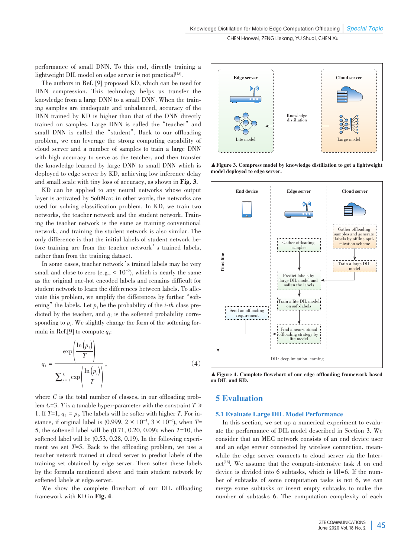performance of small DNN. To this end, directly training a  $light weight DIL model on edge server is not practical<sup>[15]</sup>.$ 

The authors in Ref. [9] proposed KD, which can be used for DNN compression. This technology helps us transfer the knowledge from a large DNN to a small DNN. When the training samples are inadequate and unbalanced, accuracy of the DNN trained by KD is higher than that of the DNN directly trained on samples. Large DNN is called the"teacher"and small DNN is called the"student". Back to our offloading problem, we can leverage the strong computing capability of cloud server and a number of samples to train a large DNN with high accuracy to serve as the teacher, and then transfer the knowledge learned by large DNN to small DNN which is deployed to edge server by KD, achieving low inference delay and small scale with tiny loss of accuracy, as shown in Fig. 3**.**

KD can be applied to any neural networks whose output layer is activated by SoftMax; in other words, the networks are used for solving classification problem. In KD, we train two networks, the teacher network and the student network. Training the teacher network is the same as training conventional network, and training the student network is also similar. The only difference is that the initial labels of student network be⁃ fore training are from the teacher network's trained labels, rather than from the training dataset.

In some cases, teacher network's trained labels may be very small and close to zero (e.g.,  $< 10^{-3}$ ), which is nearly the same as the original one-hot encoded labels and remains difficult for student network to learn the differences between labels. To alleviate this problem, we amplify the differences by further "softening" the labels. Let  $p_i$  be the probability of the *i*-*th* class predicted by the teacher, and  $q_i$  is the softened probability corresponding to  $p_i$ . We slightly change the form of the softening formula in Ref.[9] to compute *qi* :

$$
q_{i} = \frac{\exp\left(\frac{\ln(p_{i})}{T}\right)}{\sum_{j=1}^{c} \exp\left(\frac{\ln(p_{j})}{T}\right)},
$$
\n(4)

where  $C$  is the total number of classes, in our offloading problem *C*=3. *T* is a tunable hyper-parameter with the constraint  $T \geq$ 1. If  $T=1$ ,  $q_i = p_i$ . The labels will be softer with higher *T*. For instance, if original label is  $(0.999, 2 \times 10^{-4}, 3 \times 10^{-6})$ , when  $T=$ 5, the softened label will be (0.71, 0.20, 0.09); when *T*=10, the softened label will be  $(0.53, 0.28, 0.19)$ . In the following experiment we set *T*=5. Back to the offloading problem, we use a teacher network trained at cloud server to predict labels of the training set obtained by edge server. Then soften these labels by the formula mentioned above and train student network by softened labels at edge server.

We show the complete flowchart of our DIL offloading framework with KD in Fig. 4.



▲ Figure 3. Compress model by knowledge distillation to get a lightweight model deployed to edge server.



▲Figure 4. Complete flowchart of our edge offloading framework based on DIL and KD.

## 5 Evaluation

### 5.1 Evaluate Large DIL Model Performance

In this section, we set up a numerical experiment to evaluate the performance of DIL model described in Section 3. We consider that an MEC network consists of an end device user and an edge server connected by wireless connection, meanwhile the edge server connects to cloud server via the Internet<sup>[16]</sup>. We assume that the compute-intensive task *A* on end device is divided into 6 subtasks, which is  $|A|=6$ . If the number of subtasks of some computation tasks is not 6, we can merge some subtasks or insert empty subtasks to make the number of subtasks 6. The computation complexity of each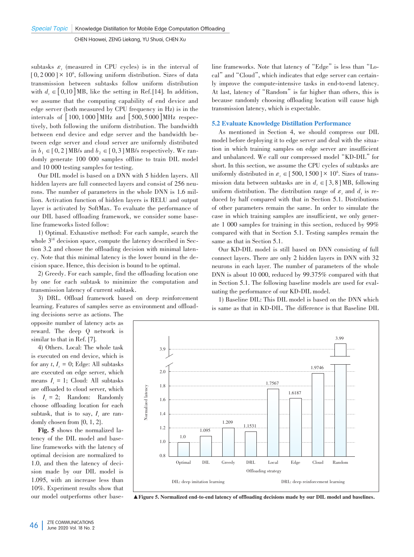subtasks  $\varepsilon$ , (measured in CPU cycles) is in the interval of  $[0, 2000] \times 10^6$ , following uniform distribution. Sizes of data transmission between subtasks follow uniform distribution with  $d_{\iota} \in [0,10] \text{ MB}$ , like the setting in Ref.[14]. In addition, we assume that the computing capability of end device and edge server (both measured by CPU frequency in Hz) is in the intervals of  $\left[100, 1000\right]$  MHz and  $\left[500, 5000\right]$  MHz respectively, both following the uniform distribution. The bandwidth between end device and edge server and the bandwidth be⁃ tween edge server and cloud server are uniformly distributed in  $b_1 \in [0, 2] \text{ MB/s}$  and  $b_2 \in [0, 3] \text{ MB/s}$  respectively. We randomly generate 100 000 samples offline to train DIL model and 10 000 testing samples for testing.

Our DIL model is based on a DNN with 5 hidden layers. All hidden layers are full connected layers and consist of 256 neurons. The number of parameters in the whole DNN is 1.6 million. Activation function of hidden layers is RELU and output layer is activated by SoftMax. To evaluate the performance of our DIL based offloading framework, we consider some baseline frameworks listed follow:

1) Optimal. Exhaustive method: For each sample, search the whole  $3^{|A|}$  decision space, compute the latency described in Section 3.2 and choose the offloading decision with minimal latency. Note that this minimal latency is the lower bound in the de⁃ cision space. Hence, this decision is bound to be optimal.

2) Greedy. For each sample, find the offloading location one by one for each subtask to minimize the computation and transmission latency of current subtask.

3) DRL. Offload framework based on deep reinforcement learning. Features of samples serve as environment and offload

ing decisions serve as actions. The opposite number of latency acts as reward. The deep Q network is similar to that in Ref. [7].

4) Others. Local: The whole task is executed on end device, which is for any  $t, I_t = 0$ ; Edge: All subtasks are executed on edge server, which means  $I_t = 1$ ; Cloud: All subtasks are offloaded to cloud server, which is  $I_t = 2$ ; Random: Randomly choose offloading location for each subtask, that is to say,  $I_t$  are randomly chosen from {0, 1, 2}.

Fig. 5 shows the normalized latency of the DIL model and baseline frameworks with the latency of optimal decision are normalized to 1.0, and then the latency of decision made by our DIL model is 1.095, with an increase less than 10%. Experiment results show that our model outperforms other base-

line frameworks. Note that latency of "Edge" is less than "Local" and "Cloud", which indicates that edge server can certain ly improve the compute-intensive tasks in end-to-end latency. At last, latency of "Random" is far higher than others, this is because randomly choosing offloading location will cause high transmission latency, which is expectable.

### 5.2 Evaluate Knowledge Distillation Performance

As mentioned in Section 4, we should compress our DIL model before deploying it to edge server and deal with the situation in which training samples on edge server are insufficient and unbalanced. We call our compressed model "KD-DIL" for short. In this section, we assume the CPU cycles of subtasks are uniformly distributed in  $\varepsilon_t \in [500, 1500] \times 10^6$ . Sizes of transmission data between subtasks are in  $d_i \in [3, 8] \text{MB}$ , following uniform distribution. The distribution range of  $\varepsilon_t$  and  $d_t$  is reduced by half compared with that in Section 5.1. Distributions of other parameters remain the same. In order to simulate the case in which training samples are insufficient, we only generate 1 000 samples for training in this section, reduced by 99% compared with that in Section 5.1. Testing samples remain the same as that in Section 5.1.

Our KD-DIL model is still based on DNN consisting of full connect layers. There are only 2 hidden layers in DNN with 32 neurons in each layer. The number of parameters of the whole DNN is about 10 000, reduced by 99.375% compared with that in Section 5.1. The following baseline models are used for evaluating the performance of our KD-DIL model.

1) Baseline DIL: This DIL model is based on the DNN which is same as that in KD-DIL. The difference is that Baseline DIL



▲Figure 5. Normalized end-to-end latency of offloading decisions made by our DIL model and baselines.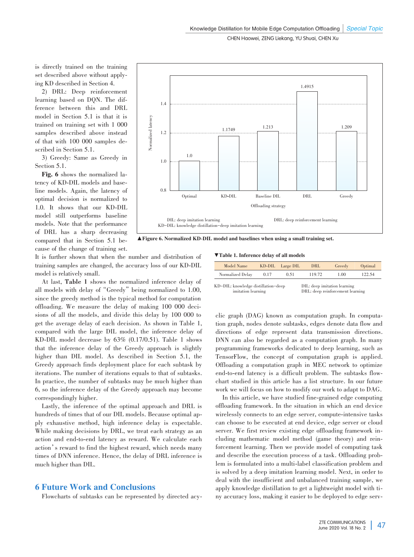is directly trained on the training set described above without applying KD described in Section 4.

2) DRL: Deep reinforcement learning based on DQN. The difference between this and DRL model in Section 5.1 is that it is trained on training set with 1 000 samples described above instead of that with 100 000 samples de⁃ scribed in Section 5.1.

3) Greedy: Same as Greedy in Section 5.1.

Fig. 6 shows the normalized latency of KD-DIL models and baseline models. Again, the latency of optimal decision is normalized to 1.0. It shows that our KD-DIL model still outperforms baseline models. Note that the performance of DRL has a sharp decreasing compared that in Section 5.1 because of the change of training set.



▲Figure 6. Normalized KD-DIL model and baselines when using a small training set.

It is further shown that when the number and distribution of training samples are changed, the accuracy loss of our KD-DIL model is relatively small.

At last, **Table 1** shows the normalized inference delay of all models with delay of "Greedy" being normalized to 1.00, since the greedy method is the typical method for computation offloading. We measure the delay of making 100 000 decisions of all the models, and divide this delay by 100 000 to get the average delay of each decision. As shown in Table 1, compared with the large DIL model, the inference delay of KD-DIL model decrease by 63% (0.17/0.51). Table 1 shows that the inference delay of the Greedy approach is slightly higher than DIL model. As described in Section 5.1, the Greedy approach finds deployment place for each subtask by iterations. The number of iterations equals to that of subtasks. In practice, the number of subtasks may be much higher than 6, so the inference delay of the Greedy approach may become correspondingly higher.

Lastly, the inference of the optimal approach and DRL is hundreds of times that of our DIL models. Because optimal apply exhaustive method, high inference delay is expectable. While making decisions by DRL, we treat each strategy as an action and end-to-end latency as reward. We calculate each action's reward to find the highest reward, which needs many times of DNN inference. Hence, the delay of DRL inference is much higher than DIL.

### 6 Future Work and Conclusions

Flowcharts of subtasks can be represented by directed acy-

▼Table 1. Inference delay of all models

| Model Name       |      | KD-DIL Large DIL | DRL                         | Greedy | Optimal |
|------------------|------|------------------|-----------------------------|--------|---------|
| Normalized Delay | 0.17 | 0.51             | 119.72                      | 1.00   | 122.54  |
| .                |      |                  | <b>May Market Co., 1980</b> | .      |         |

KD-DIL: knowledge distillation-deep imitation learning DIL: deep imitation learning DRL: deep reinforcement learning

clic graph (DAG) known as computation graph. In computation graph, nodes denote subtasks, edges denote data flow and directions of edge represent data transmission directions. DNN can also be regarded as a computation graph. In many programming frameworks dedicated to deep learning, such as TensorFlow, the concept of computation graph is applied. Offloading a computation graph in MEC network to optimize end-to-end latency is a difficult problem. The subtasks flowchart studied in this article has a list structure. In our future work we will focus on how to modify our work to adapt to DAG.

In this article, we have studied fine-grained edge computing offloading framework. In the situation in which an end device wirelessly connects to an edge server, compute-intensive tasks can choose to be executed at end device, edge server or cloud server. We first review existing edge offloading framework including mathematic model method (game theory) and reinforcement learning. Then we provide model of computing task and describe the execution process of a task. Offloading problem is formulated into a multi-label classification problem and is solved by a deep imitation learning model. Next, in order to deal with the insufficient and unbalanced training sample, we apply knowledge distillation to get a lightweight model with tiny accuracy loss, making it easier to be deployed to edge serv-